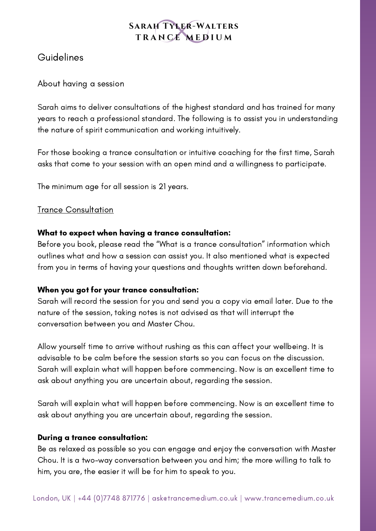# Guidelines

# About having a session

Sarah aims to deliver consultations of the highest standard and has trained for many years to reach a professional standard. The following is to assist you in understanding the nature of spirit communication and working intuitively.

For those booking a trance consultation or intuitive coaching for the first time, Sarah asks that come to your session with an open mind and a willingness to participate.

The minimum age for all session is 21 years.

# Trance Consultation

## What to expect when having a trance consultation:

Before you book, please read the "What is a trance consultation" information which outlines what and how a session can assist you. It also mentioned what is expected from you in terms of having your questions and thoughts written down beforehand.

#### When you got for your trance consultation:

Sarah will record the session for you and send you a copy via email later. Due to the nature of the session, taking notes is not advised as that will interrupt the conversation between you and Master Chou.

Allow yourself time to arrive without rushing as this can affect your wellbeing. It is advisable to be calm before the session starts so you can focus on the discussion. Sarah will explain what will happen before commencing. Now is an excellent time to ask about anything you are uncertain about, regarding the session.

Sarah will explain what will happen before commencing. Now is an excellent time to ask about anything you are uncertain about, regarding the session.

# During a trance consultation:

Be as relaxed as possible so you can engage and enjoy the conversation with Master Chou. It is a two-way conversation between you and him; the more willing to talk to him, you are, the easier it will be for him to speak to you.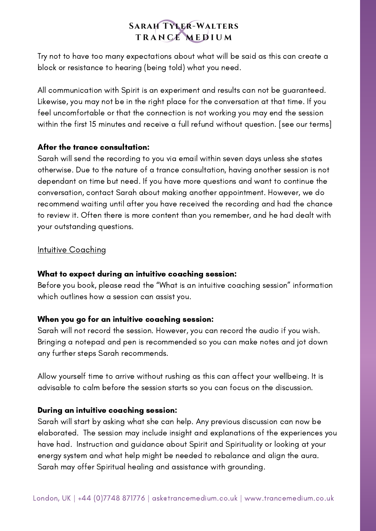Try not to have too many expectations about what will be said as this can create a block or resistance to hearing (being told) what you need.

All communication with Spirit is an experiment and results can not be guaranteed. Likewise, you may not be in the right place for the conversation at that time. If you feel uncomfortable or that the connection is not working you may end the session within the first 15 minutes and receive a full refund without question. [see our terms]

## After the trance consultation:

Sarah will send the recording to you via email within seven days unless she states otherwise. Due to the nature of a trance consultation, having another session is not dependant on time but need. If you have more questions and want to continue the conversation, contact Sarah about making another appointment. However, we do recommend waiting until after you have received the recording and had the chance to review it. Often there is more content than you remember, and he had dealt with your outstanding questions.

## **Intuitive Coaching**

#### What to expect during an intuitive coaching session:

Before you book, please read the "What is an intuitive coaching session" information which outlines how a session can assist you.

#### When you go for an intuitive coaching session:

Sarah will not record the session. However, you can record the audio if you wish. Bringing a notepad and pen is recommended so you can make notes and jot down any further steps Sarah recommends.

Allow yourself time to arrive without rushing as this can affect your wellbeing. It is advisable to calm before the session starts so you can focus on the discussion.

#### During an intuitive coaching session:

Sarah will start by asking what she can help. Any previous discussion can now be elaborated. The session may include insight and explanations of the experiences you have had. Instruction and guidance about Spirit and Spirituality or looking at your energy system and what help might be needed to rebalance and align the aura. Sarah may offer Spiritual healing and assistance with grounding.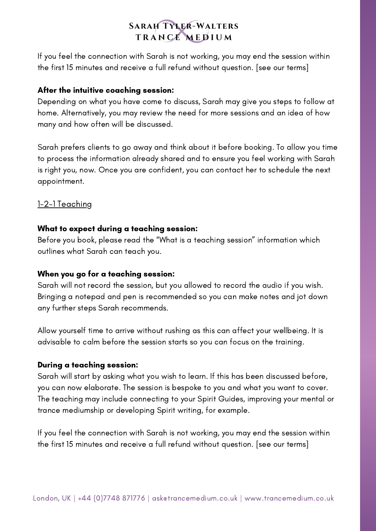If you feel the connection with Sarah is not working, you may end the session within the first 15 minutes and receive a full refund without question. [see our terms]

#### After the intuitive coaching session:

Depending on what you have come to discuss, Sarah may give you steps to follow at home. Alternatively, you may review the need for more sessions and an idea of how many and how often will be discussed.

Sarah prefers clients to go away and think about it before booking. To allow you time to process the information already shared and to ensure you feel working with Sarah is right you, now. Once you are confident, you can contact her to schedule the next appointment.

## 1-2-1 Teaching

#### What to expect during a teaching session:

Before you book, please read the "What is a teaching session" information which outlines what Sarah can teach you.

#### When you go for a teaching session:

Sarah will not record the session, but you allowed to record the audio if you wish. Bringing a notepad and pen is recommended so you can make notes and jot down any further steps Sarah recommends.

Allow yourself time to arrive without rushing as this can affect your wellbeing. It is advisable to calm before the session starts so you can focus on the training.

#### During a teaching session:

Sarah will start by asking what you wish to learn. If this has been discussed before, you can now elaborate. The session is bespoke to you and what you want to cover. The teaching may include connecting to your Spirit Guides, improving your mental or trance mediumship or developing Spirit writing, for example.

If you feel the connection with Sarah is not working, you may end the session within the first 15 minutes and receive a full refund without question. [see our terms]